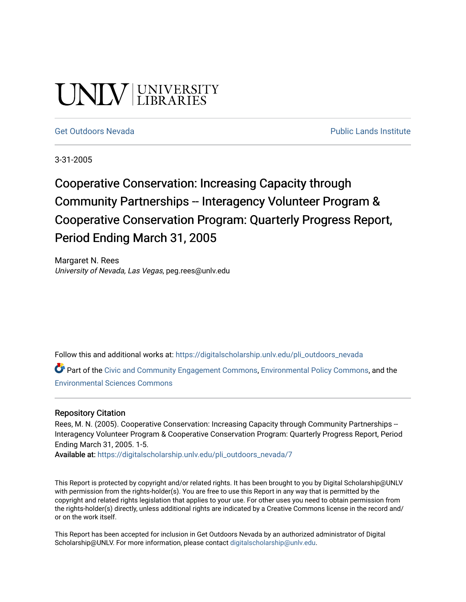# UNLV LIBRARIES

[Get Outdoors Nevada](https://digitalscholarship.unlv.edu/pli_outdoors_nevada) **Public Lands Institute** Public Lands Institute

3-31-2005

## Cooperative Conservation: Increasing Capacity through Community Partnerships -- Interagency Volunteer Program & Cooperative Conservation Program: Quarterly Progress Report, Period Ending March 31, 2005

Margaret N. Rees University of Nevada, Las Vegas, peg.rees@unlv.edu

Follow this and additional works at: [https://digitalscholarship.unlv.edu/pli\\_outdoors\\_nevada](https://digitalscholarship.unlv.edu/pli_outdoors_nevada?utm_source=digitalscholarship.unlv.edu%2Fpli_outdoors_nevada%2F7&utm_medium=PDF&utm_campaign=PDFCoverPages)

Part of the [Civic and Community Engagement Commons](http://network.bepress.com/hgg/discipline/1028?utm_source=digitalscholarship.unlv.edu%2Fpli_outdoors_nevada%2F7&utm_medium=PDF&utm_campaign=PDFCoverPages), [Environmental Policy Commons](http://network.bepress.com/hgg/discipline/1027?utm_source=digitalscholarship.unlv.edu%2Fpli_outdoors_nevada%2F7&utm_medium=PDF&utm_campaign=PDFCoverPages), and the [Environmental Sciences Commons](http://network.bepress.com/hgg/discipline/167?utm_source=digitalscholarship.unlv.edu%2Fpli_outdoors_nevada%2F7&utm_medium=PDF&utm_campaign=PDFCoverPages) 

#### Repository Citation

Rees, M. N. (2005). Cooperative Conservation: Increasing Capacity through Community Partnerships --Interagency Volunteer Program & Cooperative Conservation Program: Quarterly Progress Report, Period Ending March 31, 2005. 1-5.

Available at: [https://digitalscholarship.unlv.edu/pli\\_outdoors\\_nevada/7](https://digitalscholarship.unlv.edu/pli_outdoors_nevada/7)

This Report is protected by copyright and/or related rights. It has been brought to you by Digital Scholarship@UNLV with permission from the rights-holder(s). You are free to use this Report in any way that is permitted by the copyright and related rights legislation that applies to your use. For other uses you need to obtain permission from the rights-holder(s) directly, unless additional rights are indicated by a Creative Commons license in the record and/ or on the work itself.

This Report has been accepted for inclusion in Get Outdoors Nevada by an authorized administrator of Digital Scholarship@UNLV. For more information, please contact [digitalscholarship@unlv.edu.](mailto:digitalscholarship@unlv.edu)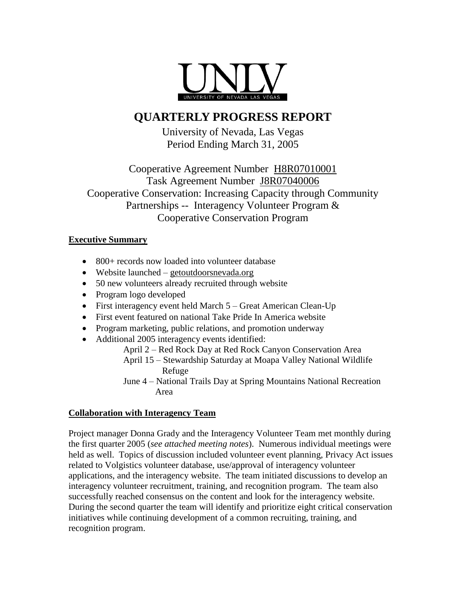

### **QUARTERLY PROGRESS REPORT**

University of Nevada, Las Vegas Period Ending March 31, 2005

Cooperative Agreement Number H8R07010001 Task Agreement Number J8R07040006 Cooperative Conservation: Increasing Capacity through Community Partnerships -- Interagency Volunteer Program & Cooperative Conservation Program

#### **Executive Summary**

- 800+ records now loaded into volunteer database
- Website launched getoutdoorsnevada.org
- 50 new volunteers already recruited through website
- Program logo developed
- First interagency event held March 5 Great American Clean-Up
- First event featured on national Take Pride In America website
- Program marketing, public relations, and promotion underway
- Additional 2005 interagency events identified:

April 2 – Red Rock Day at Red Rock Canyon Conservation Area April 15 – Stewardship Saturday at Moapa Valley National Wildlife

- Refuge
- June 4 National Trails Day at Spring Mountains National Recreation Area

#### **Collaboration with Interagency Team**

Project manager Donna Grady and the Interagency Volunteer Team met monthly during the first quarter 2005 (*see attached meeting notes*). Numerous individual meetings were held as well. Topics of discussion included volunteer event planning, Privacy Act issues related to Volgistics volunteer database, use/approval of interagency volunteer applications, and the interagency website. The team initiated discussions to develop an interagency volunteer recruitment, training, and recognition program. The team also successfully reached consensus on the content and look for the interagency website. During the second quarter the team will identify and prioritize eight critical conservation initiatives while continuing development of a common recruiting, training, and recognition program.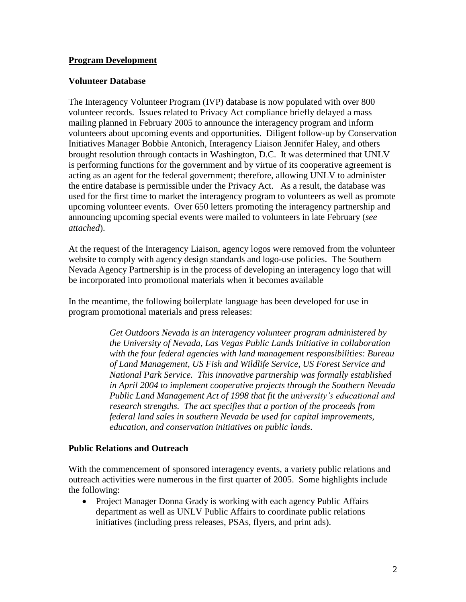#### **Program Development**

#### **Volunteer Database**

The Interagency Volunteer Program (IVP) database is now populated with over 800 volunteer records. Issues related to Privacy Act compliance briefly delayed a mass mailing planned in February 2005 to announce the interagency program and inform volunteers about upcoming events and opportunities. Diligent follow-up by Conservation Initiatives Manager Bobbie Antonich, Interagency Liaison Jennifer Haley, and others brought resolution through contacts in Washington, D.C. It was determined that UNLV is performing functions for the government and by virtue of its cooperative agreement is acting as an agent for the federal government; therefore, allowing UNLV to administer the entire database is permissible under the Privacy Act. As a result, the database was used for the first time to market the interagency program to volunteers as well as promote upcoming volunteer events. Over 650 letters promoting the interagency partnership and announcing upcoming special events were mailed to volunteers in late February (*see attached*).

At the request of the Interagency Liaison, agency logos were removed from the volunteer website to comply with agency design standards and logo-use policies. The Southern Nevada Agency Partnership is in the process of developing an interagency logo that will be incorporated into promotional materials when it becomes available

In the meantime, the following boilerplate language has been developed for use in program promotional materials and press releases:

> *Get Outdoors Nevada is an interagency volunteer program administered by the University of Nevada, Las Vegas Public Lands Initiative in collaboration with the four federal agencies with land management responsibilities: Bureau of Land Management, US Fish and Wildlife Service, US Forest Service and National Park Service. This innovative partnership was formally established in April 2004 to implement cooperative projects through the Southern Nevada Public Land Management Act of 1998 that fit the university's educational and research strengths. The act specifies that a portion of the proceeds from federal land sales in southern Nevada be used for capital improvements, education, and conservation initiatives on public lands*.

#### **Public Relations and Outreach**

With the commencement of sponsored interagency events, a variety public relations and outreach activities were numerous in the first quarter of 2005. Some highlights include the following:

• Project Manager Donna Grady is working with each agency Public Affairs department as well as UNLV Public Affairs to coordinate public relations initiatives (including press releases, PSAs, flyers, and print ads).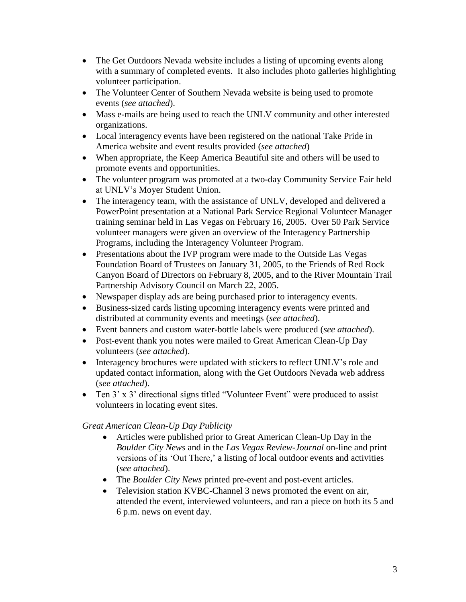- The Get Outdoors Nevada website includes a listing of upcoming events along with a summary of completed events. It also includes photo galleries highlighting volunteer participation.
- The Volunteer Center of Southern Nevada website is being used to promote events (*see attached*).
- Mass e-mails are being used to reach the UNLV community and other interested organizations.
- Local interagency events have been registered on the national Take Pride in America website and event results provided (*see attached*)
- When appropriate, the Keep America Beautiful site and others will be used to promote events and opportunities.
- The volunteer program was promoted at a two-day Community Service Fair held at UNLV's Moyer Student Union.
- The interagency team, with the assistance of UNLV, developed and delivered a PowerPoint presentation at a National Park Service Regional Volunteer Manager training seminar held in Las Vegas on February 16, 2005. Over 50 Park Service volunteer managers were given an overview of the Interagency Partnership Programs, including the Interagency Volunteer Program.
- Presentations about the IVP program were made to the Outside Las Vegas Foundation Board of Trustees on January 31, 2005, to the Friends of Red Rock Canyon Board of Directors on February 8, 2005, and to the River Mountain Trail Partnership Advisory Council on March 22, 2005.
- Newspaper display ads are being purchased prior to interagency events.
- Business-sized cards listing upcoming interagency events were printed and distributed at community events and meetings (*see attached*).
- Event banners and custom water-bottle labels were produced (*see attached*).
- Post-event thank you notes were mailed to Great American Clean-Up Day volunteers (*see attached*).
- Interagency brochures were updated with stickers to reflect UNLV's role and updated contact information, along with the Get Outdoors Nevada web address (*see attached*).
- Ten 3' x 3' directional signs titled "Volunteer Event" were produced to assist volunteers in locating event sites.

#### *Great American Clean-Up Day Publicity*

- Articles were published prior to Great American Clean-Up Day in the *Boulder City News* and in the *Las Vegas Review-Journal* on-line and print versions of its 'Out There,' a listing of local outdoor events and activities (*see attached*).
- The *Boulder City News* printed pre-event and post-event articles.
- Television station KVBC-Channel 3 news promoted the event on air, attended the event, interviewed volunteers, and ran a piece on both its 5 and 6 p.m. news on event day.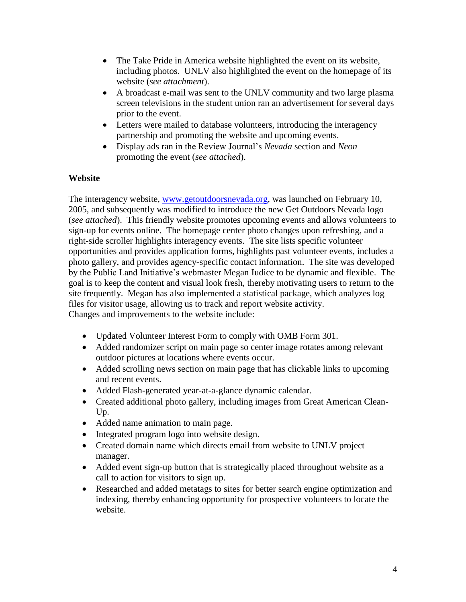- The Take Pride in America website highlighted the event on its website, including photos. UNLV also highlighted the event on the homepage of its website (*see attachment*).
- A broadcast e-mail was sent to the UNLV community and two large plasma screen televisions in the student union ran an advertisement for several days prior to the event.
- Letters were mailed to database volunteers, introducing the interagency partnership and promoting the website and upcoming events.
- Display ads ran in the Review Journal's *Nevada* section and *Neon* promoting the event (*see attached*).

#### **Website**

The interagency website, [www.getoutdoorsnevada.org,](http://www.getoutdoorsnevada.org/) was launched on February 10, 2005, and subsequently was modified to introduce the new Get Outdoors Nevada logo (*see attached*). This friendly website promotes upcoming events and allows volunteers to sign-up for events online. The homepage center photo changes upon refreshing, and a right-side scroller highlights interagency events. The site lists specific volunteer opportunities and provides application forms, highlights past volunteer events, includes a photo gallery, and provides agency-specific contact information. The site was developed by the Public Land Initiative's webmaster Megan Iudice to be dynamic and flexible. The goal is to keep the content and visual look fresh, thereby motivating users to return to the site frequently. Megan has also implemented a statistical package, which analyzes log files for visitor usage, allowing us to track and report website activity. Changes and improvements to the website include:

- Updated Volunteer Interest Form to comply with OMB Form 301.
- Added randomizer script on main page so center image rotates among relevant outdoor pictures at locations where events occur.
- Added scrolling news section on main page that has clickable links to upcoming and recent events.
- Added Flash-generated year-at-a-glance dynamic calendar.
- Created additional photo gallery, including images from Great American Clean-Up.
- Added name animation to main page.
- Integrated program logo into website design.
- Created domain name which directs email from website to UNLV project manager.
- Added event sign-up button that is strategically placed throughout website as a call to action for visitors to sign up.
- Researched and added metatags to sites for better search engine optimization and indexing, thereby enhancing opportunity for prospective volunteers to locate the website.